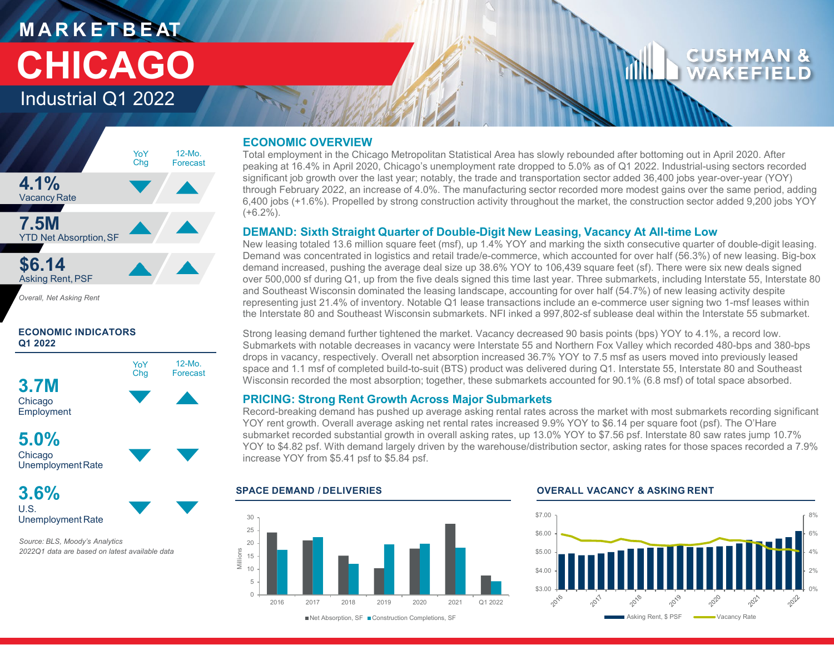## **M A R K E T B E AT CHICAGO**

Industrial Q1 2022



*Overall, Net Asking Rent*

#### **ECONOMIC INDICATORS Q1 2022**



**3.6%** U.S. Unemployment Rate

*Source: BLS, Moody's Analytics 2022Q1 data are based on latest available data* 

#### **ECONOMIC OVERVIEW**

Total employment in the Chicago Metropolitan Statistical Area has slowly rebounded after bottoming out in April 2020. After peaking at 16.4% in April 2020, Chicago's unemployment rate dropped to 5.0% as of Q1 2022. Industrial-using sectors recorded significant job growth over the last year; notably, the trade and transportation sector added 36,400 jobs year-over-year (YOY) through February 2022, an increase of 4.0%. The manufacturing sector recorded more modest gains over the same period, adding 6,400 jobs (+1.6%). Propelled by strong construction activity throughout the market, the construction sector added 9,200 jobs YOY (+6.2%).

#### **DEMAND: Sixth Straight Quarter of Double-Digit New Leasing, Vacancy At All-time Low**

New leasing totaled 13.6 million square feet (msf), up 1.4% YOY and marking the sixth consecutive quarter of double-digit leasing. Demand was concentrated in logistics and retail trade/e-commerce, which accounted for over half (56.3%) of new leasing. Big-box demand increased, pushing the average deal size up 38.6% YOY to 106,439 square feet (sf). There were six new deals signed over 500,000 sf during Q1, up from the five deals signed this time last year. Three submarkets, including Interstate 55, Interstate 80 and Southeast Wisconsin dominated the leasing landscape, accounting for over half (54.7%) of new leasing activity despite representing just 21.4% of inventory. Notable Q1 lease transactions include an e-commerce user signing two 1-msf leases within the Interstate 80 and Southeast Wisconsin submarkets. NFI inked a 997,802-sf sublease deal within the Interstate 55 submarket.

Strong leasing demand further tightened the market. Vacancy decreased 90 basis points (bps) YOY to 4.1%, a record low. Submarkets with notable decreases in vacancy were Interstate 55 and Northern Fox Valley which recorded 480-bps and 380-bps drops in vacancy, respectively. Overall net absorption increased 36.7% YOY to 7.5 msf as users moved into previously leased space and 1.1 msf of completed build-to-suit (BTS) product was delivered during Q1. Interstate 55, Interstate 80 and Southeast Wisconsin recorded the most absorption; together, these submarkets accounted for 90.1% (6.8 msf) of total space absorbed.

#### **PRICING: Strong Rent Growth Across Major Submarkets**

Record-breaking demand has pushed up average asking rental rates across the market with most submarkets recording significant YOY rent growth. Overall average asking net rental rates increased 9.9% YOY to \$6.14 per square foot (psf). The O'Hare submarket recorded substantial growth in overall asking rates, up 13.0% YOY to \$7.56 psf. Interstate 80 saw rates jump 10.7% YOY to \$4.82 psf. With demand largely driven by the warehouse/distribution sector, asking rates for those spaces recorded a 7.9% increase YOY from \$5.41 psf to \$5.84 psf.



#### **SPACE DEMAND / DELIVERIES OVERALL VACANCY & ASKING RENT**



■Net Absorption, SF ■ Construction Completions, SF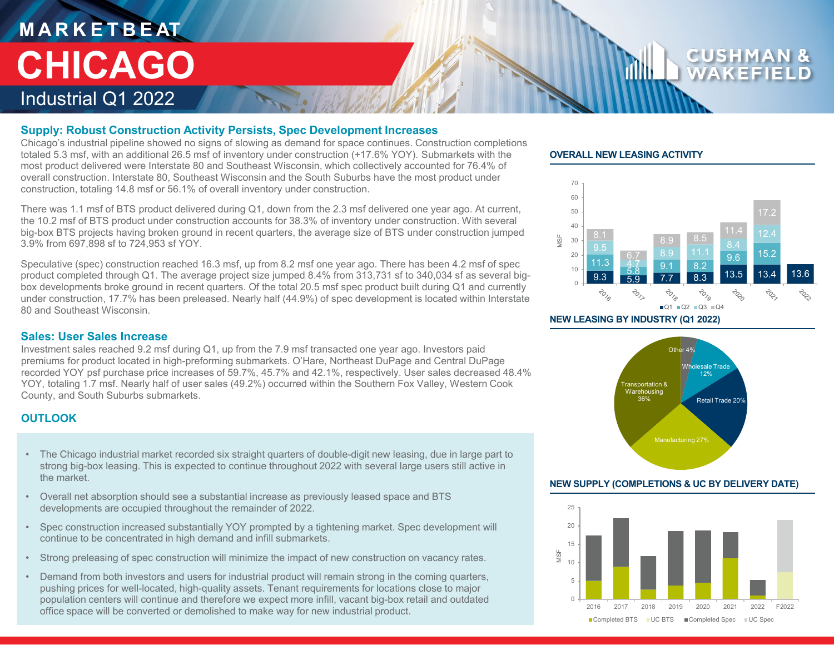## **M A R K E T B E AT** Industrial Q1 2022 **CHICAGO**

#### **Supply: Robust Construction Activity Persists, Spec Development Increases**

Chicago's industrial pipeline showed no signs of slowing as demand for space continues. Construction completions totaled 5.3 msf, with an additional 26.5 msf of inventory under construction (+17.6% YOY). Submarkets with the most product delivered were Interstate 80 and Southeast Wisconsin, which collectively accounted for 76.4% of overall construction. Interstate 80, Southeast Wisconsin and the South Suburbs have the most product under construction, totaling 14.8 msf or 56.1% of overall inventory under construction.

There was 1.1 msf of BTS product delivered during Q1, down from the 2.3 msf delivered one year ago. At current, the 10.2 msf of BTS product under construction accounts for 38.3% of inventory under construction. With several big-box BTS projects having broken ground in recent quarters, the average size of BTS under construction jumped 3.9% from 697,898 sf to 724,953 sf YOY.

Speculative (spec) construction reached 16.3 msf, up from 8.2 msf one year ago. There has been 4.2 msf of spec product completed through Q1. The average project size jumped 8.4% from 313,731 sf to 340,034 sf as several bigbox developments broke ground in recent quarters. Of the total 20.5 msf spec product built during Q1 and currently under construction, 17.7% has been preleased. Nearly half (44.9%) of spec development is located within Interstate 80 and Southeast Wisconsin.

#### **Sales: User Sales Increase**

Investment sales reached 9.2 msf during Q1, up from the 7.9 msf transacted one year ago. Investors paid premiums for product located in high-preforming submarkets. O'Hare, Northeast DuPage and Central DuPage recorded YOY psf purchase price increases of 59.7%, 45.7% and 42.1%, respectively. User sales decreased 48.4% YOY, totaling 1.7 msf. Nearly half of user sales (49.2%) occurred within the Southern Fox Valley, Western Cook County, and South Suburbs submarkets.

### **OUTLOOK**

- The Chicago industrial market recorded six straight quarters of double-digit new leasing, due in large part to strong big-box leasing. This is expected to continue throughout 2022 with several large users still active in the market.
- Overall net absorption should see a substantial increase as previously leased space and BTS developments are occupied throughout the remainder of 2022.
- Spec construction increased substantially YOY prompted by a tightening market. Spec development will continue to be concentrated in high demand and infill submarkets.
- Strong preleasing of spec construction will minimize the impact of new construction on vacancy rates.
- Demand from both investors and users for industrial product will remain strong in the coming quarters, pushing prices for well-located, high-quality assets. Tenant requirements for locations close to major population centers will continue and therefore we expect more infill, vacant big-box retail and outdated office space will be converted or demolished to make way for new industrial product.

#### **OVERALL NEW LEASING ACTIVITY**



**NEW LEASING BY INDUSTRY (Q1 2022)**



#### **NEW SUPPLY (COMPLETIONS & UC BY DELIVERY DATE)**

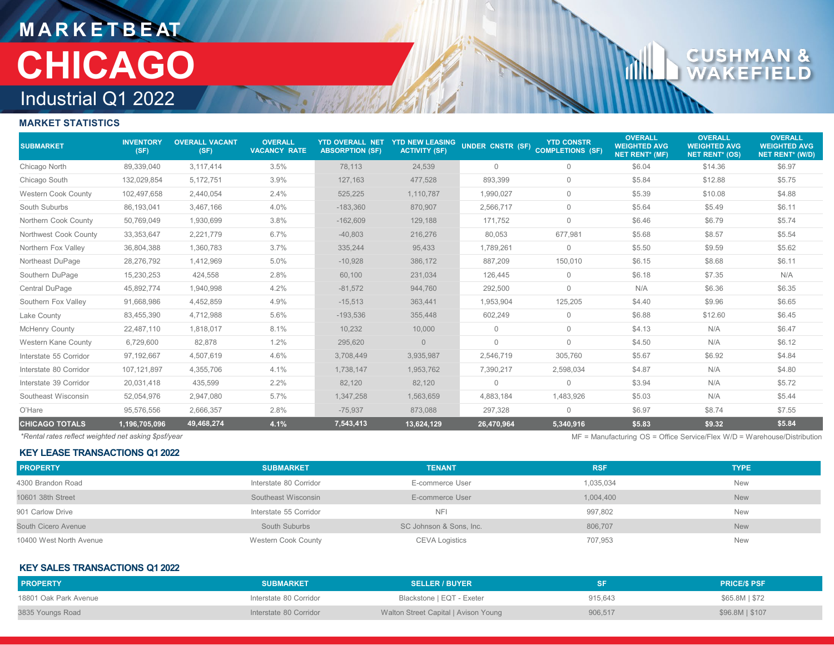## **M A R K E T B E AT** Industrial Q1 2022 **CHICAGO**

# $\mathbf{c}$ U

#### **MARKET STATISTICS**

| <b>SUBMARKET</b>           | <b>INVENTORY</b><br>(SF) | <b>OVERALL VACANT</b><br>(SF) | <b>OVERALL</b><br><b>VACANCY RATE</b> | <b>YTD OVERALL NET</b><br><b>ABSORPTION (SF)</b> | <b>YTD NEW LEASING</b><br><b>ACTIVITY (SF)</b> | UNDER CNSTR (SF) COMPLETIONS (SF) | <b>YTD CONSTR</b> | <b>OVERALL</b><br><b>WEIGHTED AVG</b><br><b>NET RENT* (MF)</b> | <b>OVERALL</b><br><b>WEIGHTED AVG</b><br><b>NET RENT* (OS)</b> | <b>OVERALL</b><br><b>WEIGHTED AVG</b><br><b>NET RENT* (W/D)</b> |
|----------------------------|--------------------------|-------------------------------|---------------------------------------|--------------------------------------------------|------------------------------------------------|-----------------------------------|-------------------|----------------------------------------------------------------|----------------------------------------------------------------|-----------------------------------------------------------------|
| Chicago North              | 89,339,040               | 3,117,414                     | 3.5%                                  | 78,113                                           | 24,539                                         | $\mathbf{0}$                      | $\mathbf 0$       | \$6.04                                                         | \$14.36                                                        | \$6.97                                                          |
| Chicago South              | 132,029,854              | 5,172,751                     | 3.9%                                  | 127,163                                          | 477,528                                        | 893,399                           | $\mathbf 0$       | \$5.84                                                         | \$12.88                                                        | \$5.75                                                          |
| <b>Western Cook County</b> | 102,497,658              | 2,440,054                     | 2.4%                                  | 525,225                                          | 1,110,787                                      | 1,990,027                         | $\mathbf 0$       | \$5.39                                                         | \$10.08                                                        | \$4.88                                                          |
| South Suburbs              | 86,193,041               | 3,467,166                     | 4.0%                                  | $-183,360$                                       | 870,907                                        | 2,566,717                         | $\mathbf 0$       | \$5.64                                                         | \$5.49                                                         | \$6.11                                                          |
| Northern Cook County       | 50,769,049               | 1,930,699                     | 3.8%                                  | $-162,609$                                       | 129,188                                        | 171,752                           | $\mathbf 0$       | \$6.46                                                         | \$6.79                                                         | \$5.74                                                          |
| Northwest Cook County      | 33, 353, 647             | 2,221,779                     | 6.7%                                  | $-40,803$                                        | 216,276                                        | 80,053                            | 677,981           | \$5.68                                                         | \$8.57                                                         | \$5.54                                                          |
| Northern Fox Valley        | 36,804,388               | 1,360,783                     | 3.7%                                  | 335,244                                          | 95,433                                         | 1,789,261                         | $\mathbf 0$       | \$5.50                                                         | \$9.59                                                         | \$5.62                                                          |
| Northeast DuPage           | 28,276,792               | 1,412,969                     | 5.0%                                  | $-10,928$                                        | 386,172                                        | 887,209                           | 150,010           | \$6.15                                                         | \$8.68                                                         | \$6.11                                                          |
| Southern DuPage            | 15,230,253               | 424,558                       | 2.8%                                  | 60,100                                           | 231,034                                        | 126,445                           | $\mathbf{0}$      | \$6.18                                                         | \$7.35                                                         | N/A                                                             |
| Central DuPage             | 45,892,774               | 1,940,998                     | 4.2%                                  | $-81,572$                                        | 944,760                                        | 292,500                           | $\mathbf{0}$      | N/A                                                            | \$6.36                                                         | \$6.35                                                          |
| Southern Fox Valley        | 91,668,986               | 4,452,859                     | 4.9%                                  | $-15,513$                                        | 363,441                                        | 1,953,904                         | 125,205           | \$4.40                                                         | \$9.96                                                         | \$6.65                                                          |
| Lake County                | 83,455,390               | 4,712,988                     | 5.6%                                  | $-193,536$                                       | 355,448                                        | 602,249                           | $\mathbf 0$       | \$6.88                                                         | \$12.60                                                        | \$6.45                                                          |
| McHenry County             | 22,487,110               | 1,818,017                     | 8.1%                                  | 10,232                                           | 10,000                                         | $\Omega$                          | $\mathbf 0$       | \$4.13                                                         | N/A                                                            | \$6.47                                                          |
| Western Kane County        | 6,729,600                | 82,878                        | 1.2%                                  | 295,620                                          | $\overline{0}$                                 | $\mathbf{0}$                      | $\mathbf 0$       | \$4.50                                                         | N/A                                                            | \$6.12                                                          |
| Interstate 55 Corridor     | 97.192.667               | 4.507.619                     | 4.6%                                  | 3,708,449                                        | 3,935,987                                      | 2.546.719                         | 305,760           | \$5.67                                                         | \$6.92                                                         | \$4.84                                                          |
| Interstate 80 Corridor     | 107,121,897              | 4,355,706                     | 4.1%                                  | 1,738,147                                        | 1,953,762                                      | 7,390,217                         | 2,598,034         | \$4.87                                                         | N/A                                                            | \$4.80                                                          |
| Interstate 39 Corridor     | 20,031,418               | 435,599                       | 2.2%                                  | 82,120                                           | 82,120                                         | $\Omega$                          | $\Omega$          | \$3.94                                                         | N/A                                                            | \$5.72                                                          |
| Southeast Wisconsin        | 52,054,976               | 2,947,080                     | 5.7%                                  | 1,347,258                                        | 1,563,659                                      | 4,883,184                         | 1,483,926         | \$5.03                                                         | N/A                                                            | \$5.44                                                          |
| O'Hare                     | 95,576,556               | 2,666,357                     | 2.8%                                  | $-75,937$                                        | 873,088                                        | 297,328                           | $\mathbf 0$       | \$6.97                                                         | \$8.74                                                         | \$7.55                                                          |
| <b>CHICAGO TOTALS</b>      | 1,196,705,096            | 49,468,274                    | 4.1%                                  | 7,543,413                                        | 13,624,129                                     | 26,470,964                        | 5,340,916         | \$5.83                                                         | \$9.32                                                         | \$5.84                                                          |

**KEY LEASE TRANSACTIONS Q1 2022**

*\*Rental rates reflect weighted net asking \$psf/year* MF = Manufacturing OS = Office Service/Flex W/D = Warehouse/Distribution

| <b>PROPERTY</b>         | <b>SUBMARKET</b>           | <b>TENANT</b>           | <b>RSF</b> | <b>TYPE</b> |
|-------------------------|----------------------------|-------------------------|------------|-------------|
| 4300 Brandon Road       | Interstate 80 Corridor     | E-commerce User         | 1,035,034  | <b>New</b>  |
| 10601 38th Street       | Southeast Wisconsin        | E-commerce User         | 1,004,400  | <b>New</b>  |
| 901 Carlow Drive        | Interstate 55 Corridor     | <b>NFI</b>              | 997,802    | <b>New</b>  |
| South Cicero Avenue     | South Suburbs              | SC Johnson & Sons, Inc. | 806,707    | <b>New</b>  |
| 10400 West North Avenue | <b>Western Cook County</b> | <b>CEVA Logistics</b>   | 707,953    | <b>New</b>  |

#### **KEY SALES TRANSACTIONS Q1 2022**

| <b>PROPERTY</b>       | <b>SUBMARKET</b>       | <b>SELLER / BUYER</b>                | SF      | <b>PRICE/S PSF</b> |
|-----------------------|------------------------|--------------------------------------|---------|--------------------|
| 18801 Oak Park Avenue | Interstate 80 Corridor | Blackstone   EQT - Exeter            | 915,643 | \$65.8M \$72       |
| 3835 Youngs Road      | Interstate 80 Corridor | Walton Street Capital   Avison Young | 906,517 | \$96.8M \$107      |